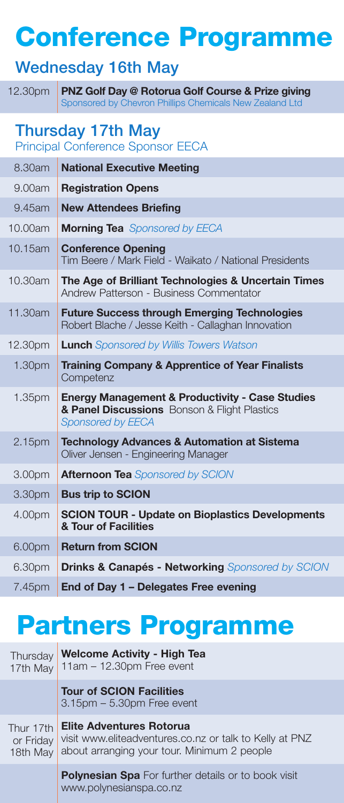## Conference Programme

### Wednesday 16th May

12.30pm PNZ Golf Day @ Rotorua Golf Course & Prize giving Sponsored by Chevron Phillips Chemicals New Zealand Ltd

#### Thursday 17th May

Principal Conference Sponsor EECA

| 8.30am             | <b>National Executive Meeting</b>                                                                                                      |
|--------------------|----------------------------------------------------------------------------------------------------------------------------------------|
| 9.00am             | <b>Registration Opens</b>                                                                                                              |
| 9.45am             | <b>New Attendees Briefing</b>                                                                                                          |
| 10.00am            | <b>Morning Tea</b> Sponsored by EECA                                                                                                   |
| 10.15am            | <b>Conference Opening</b><br>Tim Beere / Mark Field - Waikato / National Presidents                                                    |
| 10.30am            | The Age of Brilliant Technologies & Uncertain Times<br>Andrew Patterson - Business Commentator                                         |
| 11.30am            | <b>Future Success through Emerging Technologies</b><br>Robert Blache / Jesse Keith - Callaghan Innovation                              |
| 12.30pm            | <b>Lunch</b> Sponsored by Willis Towers Watson                                                                                         |
| 1.30 <sub>pm</sub> | <b>Training Company &amp; Apprentice of Year Finalists</b><br>Competenz                                                                |
| 1.35 <sub>pm</sub> | <b>Energy Management &amp; Productivity - Case Studies</b><br>& Panel Discussions Bonson & Flight Plastics<br><b>Sponsored by EECA</b> |
| 2.15 <sub>pm</sub> | <b>Technology Advances &amp; Automation at Sistema</b><br>Oliver Jensen - Engineering Manager                                          |
| 3.00pm             | <b>Afternoon Tea Sponsored by SCION</b>                                                                                                |
| 3.30pm             | <b>Bus trip to SCION</b>                                                                                                               |
| 4.00pm             | <b>SCION TOUR - Update on Bioplastics Developments</b><br>& Tour of Facilities                                                         |
| 6.00pm             | <b>Return from SCION</b>                                                                                                               |
| 6.30pm             | Drinks & Canapés - Networking Sponsored by SCION                                                                                       |
| 7.45pm             | End of Day 1 - Delegates Free evening                                                                                                  |

### Partners Programme

| Thursday<br>17th May               | <b>Welcome Activity - High Tea</b><br>$11am - 12.30pm$ Free event                                                                         |
|------------------------------------|-------------------------------------------------------------------------------------------------------------------------------------------|
|                                    | <b>Tour of SCION Facilities</b><br>$3.15$ pm $-5.30$ pm Free event                                                                        |
| Thur 17th<br>or Friday<br>18th May | <b>Elite Adventures Rotorua</b><br>visit www.eliteadventures.co.nz or talk to Kelly at PNZ<br>about arranging your tour. Minimum 2 people |
|                                    | <b>Polynesian Spa</b> For further details or to book visit<br>www.polynesianspa.co.nz                                                     |